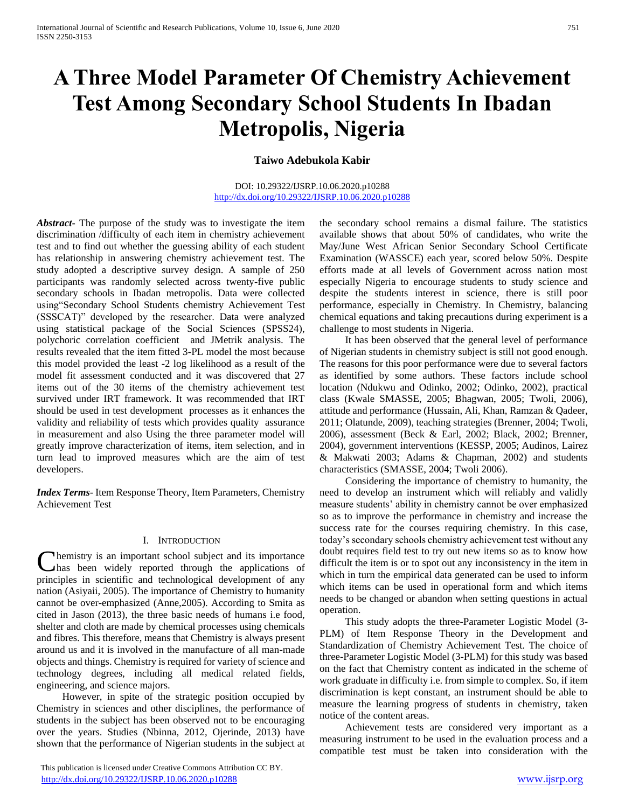# **A Three Model Parameter Of Chemistry Achievement Test Among Secondary School Students In Ibadan Metropolis, Nigeria**

**Taiwo Adebukola Kabir**

## DOI: 10.29322/IJSRP.10.06.2020.p10288 <http://dx.doi.org/10.29322/IJSRP.10.06.2020.p10288>

*Abstract***-** The purpose of the study was to investigate the item discrimination /difficulty of each item in chemistry achievement test and to find out whether the guessing ability of each student has relationship in answering chemistry achievement test. The study adopted a descriptive survey design. A sample of 250 participants was randomly selected across twenty-five public secondary schools in Ibadan metropolis. Data were collected using"Secondary School Students chemistry Achievement Test (SSSCAT)" developed by the researcher. Data were analyzed using statistical package of the Social Sciences (SPSS24), polychoric correlation coefficient and JMetrik analysis. The results revealed that the item fitted 3-PL model the most because this model provided the least -2 log likelihood as a result of the model fit assessment conducted and it was discovered that 27 items out of the 30 items of the chemistry achievement test survived under IRT framework. It was recommended that IRT should be used in test development processes as it enhances the validity and reliability of tests which provides quality assurance in measurement and also Using the three parameter model will greatly improve characterization of items, item selection, and in turn lead to improved measures which are the aim of test developers.

*Index Terms*- Item Response Theory, Item Parameters, Chemistry Achievement Test

## I. INTRODUCTION

hemistry is an important school subject and its importance has been widely reported through the applications of **C**hemistry is an important school subject and its importance has been widely reported through the applications of principles in scientific and technological development of any nation (Asiyaii, 2005). The importance of Chemistry to humanity cannot be over-emphasized (Anne,2005). According to Smita as cited in Jason (2013), the three basic needs of humans i.e food, shelter and cloth are made by chemical processes using chemicals and fibres. This therefore, means that Chemistry is always present around us and it is involved in the manufacture of all man-made objects and things. Chemistry is required for variety of science and technology degrees, including all medical related fields, engineering, and science majors.

 However, in spite of the strategic position occupied by Chemistry in sciences and other disciplines, the performance of students in the subject has been observed not to be encouraging over the years. Studies (Nbinna, 2012, Ojerinde, 2013) have shown that the performance of Nigerian students in the subject at

 This publication is licensed under Creative Commons Attribution CC BY. <http://dx.doi.org/10.29322/IJSRP.10.06.2020.p10288> [www.ijsrp.org](http://ijsrp.org/)

the secondary school remains a dismal failure. The statistics available shows that about 50% of candidates, who write the May/June West African Senior Secondary School Certificate Examination (WASSCE) each year, scored below 50%. Despite efforts made at all levels of Government across nation most especially Nigeria to encourage students to study science and despite the students interest in science, there is still poor performance, especially in Chemistry. In Chemistry, balancing chemical equations and taking precautions during experiment is a challenge to most students in Nigeria.

 It has been observed that the general level of performance of Nigerian students in chemistry subject is still not good enough. The reasons for this poor performance were due to several factors as identified by some authors. These factors include school location (Ndukwu and Odinko, 2002; Odinko, 2002), practical class (Kwale SMASSE, 2005; Bhagwan, 2005; Twoli, 2006), attitude and performance (Hussain, Ali, Khan, Ramzan & Qadeer, 2011; Olatunde, 2009), teaching strategies (Brenner, 2004; Twoli, 2006), assessment (Beck & Earl, 2002; Black, 2002; Brenner, 2004), government interventions (KESSP, 2005; Audinos, Lairez & Makwati 2003; Adams & Chapman, 2002) and students characteristics (SMASSE, 2004; Twoli 2006).

 Considering the importance of chemistry to humanity, the need to develop an instrument which will reliably and validly measure students' ability in chemistry cannot be over emphasized so as to improve the performance in chemistry and increase the success rate for the courses requiring chemistry. In this case, today's secondary schools chemistry achievement test without any doubt requires field test to try out new items so as to know how difficult the item is or to spot out any inconsistency in the item in which in turn the empirical data generated can be used to inform which items can be used in operational form and which items needs to be changed or abandon when setting questions in actual operation.

 This study adopts the three-Parameter Logistic Model (3- PLM) of Item Response Theory in the Development and Standardization of Chemistry Achievement Test. The choice of three-Parameter Logistic Model (3-PLM) for this study was based on the fact that Chemistry content as indicated in the scheme of work graduate in difficulty i.e. from simple to complex. So, if item discrimination is kept constant, an instrument should be able to measure the learning progress of students in chemistry, taken notice of the content areas.

 Achievement tests are considered very important as a measuring instrument to be used in the evaluation process and a compatible test must be taken into consideration with the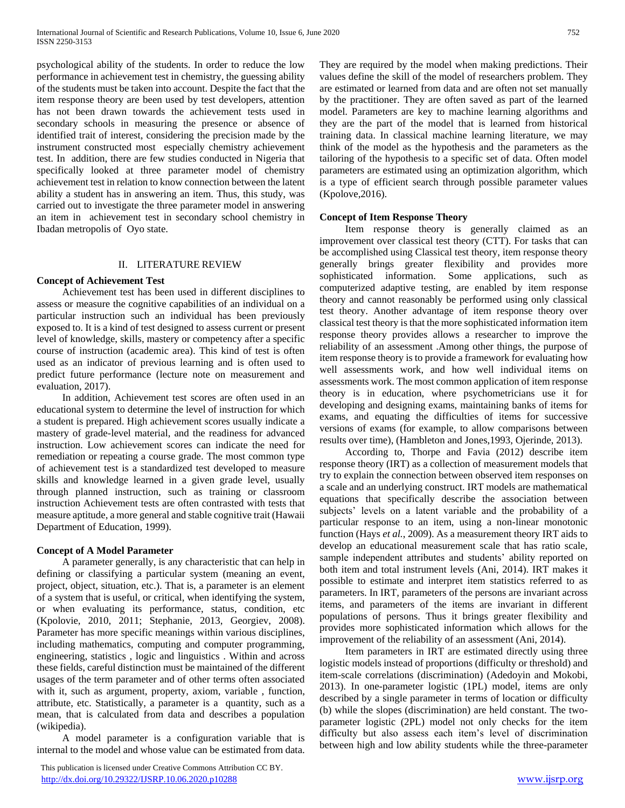psychological ability of the students. In order to reduce the low performance in achievement test in chemistry, the guessing ability of the students must be taken into account. Despite the fact that the item response theory are been used by test developers, attention has not been drawn towards the achievement tests used in secondary schools in measuring the presence or absence of identified trait of interest, considering the precision made by the instrument constructed most especially chemistry achievement test. In addition, there are few studies conducted in Nigeria that specifically looked at three parameter model of chemistry achievement test in relation to know connection between the latent ability a student has in answering an item. Thus, this study, was carried out to investigate the three parameter model in answering an item in achievement test in secondary school chemistry in Ibadan metropolis of Oyo state.

# II. LITERATURE REVIEW

# **Concept of Achievement Test**

 Achievement test has been used in different disciplines to assess or measure the cognitive capabilities of an individual on a particular instruction such an individual has been previously exposed to. It is a kind of test designed to assess current or present level of knowledge, skills, mastery or competency after a specific course of instruction (academic area). This kind of test is often used as an indicator of previous learning and is often used to predict future performance (lecture note on measurement and evaluation, 2017).

 In addition, Achievement test scores are often used in an educational system to determine the level of instruction for which a student is prepared. High achievement scores usually indicate a mastery of grade-level material, and the readiness for advanced instruction. Low achievement scores can indicate the need for remediation or repeating a course grade. The most common type of achievement test is a standardized test developed to measure skills and knowledge learned in a given grade level, usually through planned instruction, such as training or classroom instruction Achievement tests are often contrasted with tests that measure aptitude, a more general and stable cognitive trait (Hawaii Department of Education, 1999).

# **Concept of A Model Parameter**

 A parameter generally, is any characteristic that can help in defining or classifying a particular system (meaning an event, project, object, situation, etc.). That is, a parameter is an element of a system that is useful, or critical, when identifying the system, or when evaluating its performance, status, condition, etc (Kpolovie, 2010, 2011; Stephanie, 2013, Georgiev, 2008). Parameter has more specific meanings within various disciplines, including mathematics, computing and computer programming, engineering, statistics , logic and linguistics . Within and across these fields, careful distinction must be maintained of the different usages of the term parameter and of other terms often associated with it, such as argument, property, axiom, variable , function, attribute, etc. Statistically, a parameter is a quantity, such as a mean, that is calculated from data and describes a population (wikipedia).

 A model parameter is a configuration variable that is internal to the model and whose value can be estimated from data.

 This publication is licensed under Creative Commons Attribution CC BY. <http://dx.doi.org/10.29322/IJSRP.10.06.2020.p10288> [www.ijsrp.org](http://ijsrp.org/)

They are required by the model when making predictions. Their values define the skill of the model of researchers problem. They are estimated or learned from data and are often not set manually by the practitioner. They are often saved as part of the learned model. Parameters are key to machine learning algorithms and they are the part of the model that is learned from historical training data. In classical machine learning literature, we may think of the model as the hypothesis and the parameters as the tailoring of the hypothesis to a specific set of data. Often model parameters are estimated using an optimization algorithm, which is a type of efficient search through possible parameter values (Kpolove,2016).

#### **Concept of Item Response Theory**

 Item response theory is generally claimed as an improvement over classical test theory (CTT). For tasks that can be accomplished using Classical test theory, item response theory generally brings greater flexibility and provides more sophisticated information. Some applications, such as computerized adaptive testing, are enabled by item response theory and cannot reasonably be performed using only classical test theory. Another advantage of item response theory over classical test theory is that the more sophisticated information item response theory provides allows a researcher to improve the reliability of an assessment .Among other things, the purpose of item response theory is to provide a framework for evaluating how well assessments work, and how well individual items on assessments work. The most common application of item response theory is in education, where psychometricians use it for developing and designing exams, maintaining banks of items for exams, and equating the difficulties of items for successive versions of exams (for example, to allow comparisons between results over time), (Hambleton and Jones,1993, Ojerinde, 2013).

 According to, Thorpe and Favia (2012) describe item response theory (IRT) as a collection of measurement models that try to explain the connection between observed item responses on a scale and an underlying construct. IRT models are mathematical equations that specifically describe the association between subjects' levels on a latent variable and the probability of a particular response to an item, using a non-linear monotonic function (Hays *et al.*, 2009). As a measurement theory IRT aids to develop an educational measurement scale that has ratio scale, sample independent attributes and students' ability reported on both item and total instrument levels (Ani, 2014). IRT makes it possible to estimate and interpret item statistics referred to as parameters. In IRT, parameters of the persons are invariant across items, and parameters of the items are invariant in different populations of persons. Thus it brings greater flexibility and provides more sophisticated information which allows for the improvement of the reliability of an assessment (Ani, 2014).

 Item parameters in IRT are estimated directly using three logistic models instead of proportions (difficulty or threshold) and item-scale correlations (discrimination) (Adedoyin and Mokobi, 2013). In one-parameter logistic (1PL) model, items are only described by a single parameter in terms of location or difficulty (b) while the slopes (discrimination) are held constant. The twoparameter logistic (2PL) model not only checks for the item difficulty but also assess each item's level of discrimination between high and low ability students while the three-parameter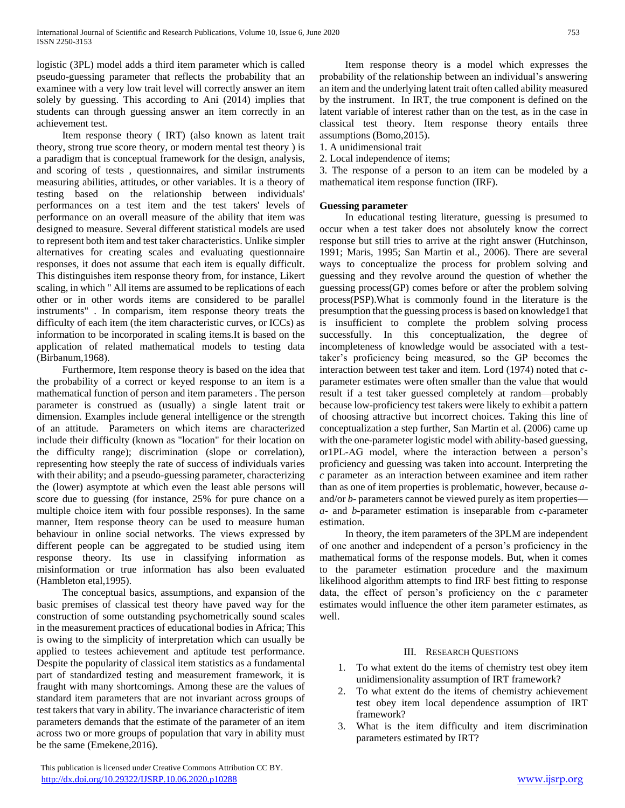logistic (3PL) model adds a third item parameter which is called pseudo-guessing parameter that reflects the probability that an examinee with a very low trait level will correctly answer an item solely by guessing. This according to Ani (2014) implies that students can through guessing answer an item correctly in an achievement test.

 Item response theory ( IRT) (also known as latent trait theory, strong true score theory, or modern mental test theory ) is a paradigm that is conceptual framework for the design, analysis, and scoring of tests , questionnaires, and similar instruments measuring abilities, attitudes, or other variables. It is a theory of testing based on the relationship between individuals' performances on a test item and the test takers' levels of performance on an overall measure of the ability that item was designed to measure. Several different statistical models are used to represent both item and test taker characteristics. Unlike simpler alternatives for creating scales and evaluating questionnaire responses, it does not assume that each item is equally difficult. This distinguishes item response theory from, for instance, Likert scaling, in which " All items are assumed to be replications of each other or in other words items are considered to be parallel instruments" . In comparism, item response theory treats the difficulty of each item (the item characteristic curves, or ICCs) as information to be incorporated in scaling items.It is based on the application of related mathematical models to testing data (Birbanum,1968).

 Furthermore, Item response theory is based on the idea that the probability of a correct or keyed response to an item is a mathematical function of person and item parameters . The person parameter is construed as (usually) a single latent trait or dimension. Examples include general intelligence or the strength of an attitude. Parameters on which items are characterized include their difficulty (known as "location" for their location on the difficulty range); discrimination (slope or correlation), representing how steeply the rate of success of individuals varies with their ability; and a pseudo-guessing parameter, characterizing the (lower) asymptote at which even the least able persons will score due to guessing (for instance, 25% for pure chance on a multiple choice item with four possible responses). In the same manner, Item response theory can be used to measure human behaviour in online social networks. The views expressed by different people can be aggregated to be studied using item response theory. Its use in classifying information as misinformation or true information has also been evaluated (Hambleton etal,1995).

 The conceptual basics, assumptions, and expansion of the basic premises of classical test theory have paved way for the construction of some outstanding psychometrically sound scales in the measurement practices of educational bodies in Africa; This is owing to the simplicity of interpretation which can usually be applied to testees achievement and aptitude test performance. Despite the popularity of classical item statistics as a fundamental part of standardized testing and measurement framework, it is fraught with many shortcomings. Among these are the values of standard item parameters that are not invariant across groups of test takers that vary in ability. The invariance characteristic of item parameters demands that the estimate of the parameter of an item across two or more groups of population that vary in ability must be the same (Emekene,2016).

 This publication is licensed under Creative Commons Attribution CC BY. <http://dx.doi.org/10.29322/IJSRP.10.06.2020.p10288> [www.ijsrp.org](http://ijsrp.org/)

 Item response theory is a model which expresses the probability of the relationship between an individual's answering an item and the underlying latent trait often called ability measured by the instrument. In IRT, the true component is defined on the latent variable of interest rather than on the test, as in the case in classical test theory. Item response theory entails three assumptions (Bomo,2015).

1. A unidimensional trait

2. Local independence of items;

3. The response of a person to an item can be modeled by a mathematical item response function (IRF).

#### **Guessing parameter**

 In educational testing literature, guessing is presumed to occur when a test taker does not absolutely know the correct response but still tries to arrive at the right answer (Hutchinson, 1991; Maris, 1995; San Martin et al., 2006). There are several ways to conceptualize the process for problem solving and guessing and they revolve around the question of whether the guessing process(GP) comes before or after the problem solving process(PSP).What is commonly found in the literature is the presumption that the guessing process is based on knowledge1 that is insufficient to complete the problem solving process successfully. In this conceptualization, the degree of incompleteness of knowledge would be associated with a testtaker's proficiency being measured, so the GP becomes the interaction between test taker and item. Lord (1974) noted that *c*parameter estimates were often smaller than the value that would result if a test taker guessed completely at random—probably because low-proficiency test takers were likely to exhibit a pattern of choosing attractive but incorrect choices. Taking this line of conceptualization a step further, San Martin et al. (2006) came up with the one-parameter logistic model with ability-based guessing, or1PL-AG model, where the interaction between a person's proficiency and guessing was taken into account. Interpreting the *c* parameter as an interaction between examinee and item rather than as one of item properties is problematic, however, because *a*and/or *b-* parameters cannot be viewed purely as item properties *a-* and *b-*parameter estimation is inseparable from *c-*parameter estimation.

 In theory, the item parameters of the 3PLM are independent of one another and independent of a person's proficiency in the mathematical forms of the response models. But, when it comes to the parameter estimation procedure and the maximum likelihood algorithm attempts to find IRF best fitting to response data, the effect of person's proficiency on the *c* parameter estimates would influence the other item parameter estimates, as well.

#### III. RESEARCH QUESTIONS

- 1. To what extent do the items of chemistry test obey item unidimensionality assumption of IRT framework?
- 2. To what extent do the items of chemistry achievement test obey item local dependence assumption of IRT framework?
- 3. What is the item difficulty and item discrimination parameters estimated by IRT?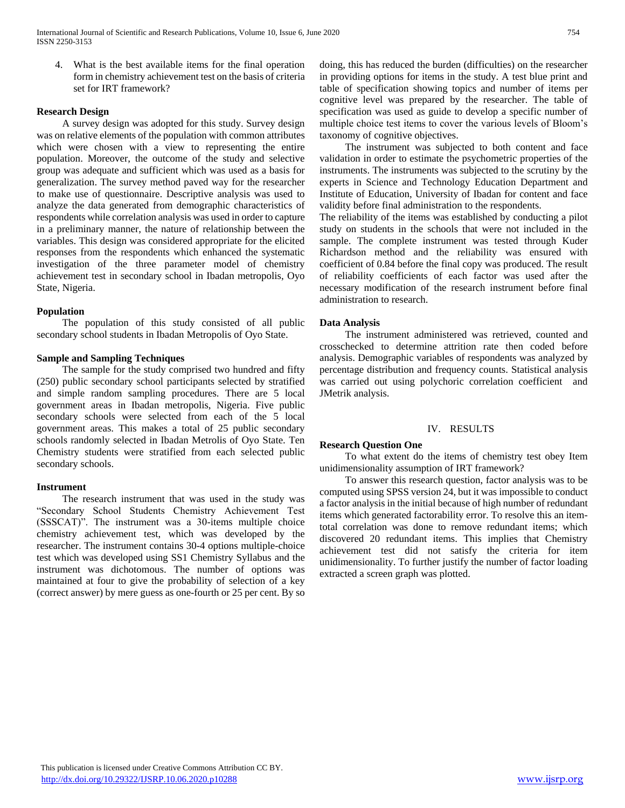4. What is the best available items for the final operation form in chemistry achievement test on the basis of criteria set for IRT framework?

## **Research Design**

 A survey design was adopted for this study. Survey design was on relative elements of the population with common attributes which were chosen with a view to representing the entire population. Moreover, the outcome of the study and selective group was adequate and sufficient which was used as a basis for generalization. The survey method paved way for the researcher to make use of questionnaire. Descriptive analysis was used to analyze the data generated from demographic characteristics of respondents while correlation analysis was used in order to capture in a preliminary manner, the nature of relationship between the variables. This design was considered appropriate for the elicited responses from the respondents which enhanced the systematic investigation of the three parameter model of chemistry achievement test in secondary school in Ibadan metropolis, Oyo State, Nigeria.

## **Population**

 The population of this study consisted of all public secondary school students in Ibadan Metropolis of Oyo State.

# **Sample and Sampling Techniques**

 The sample for the study comprised two hundred and fifty (250) public secondary school participants selected by stratified and simple random sampling procedures. There are 5 local government areas in Ibadan metropolis, Nigeria. Five public secondary schools were selected from each of the 5 local government areas. This makes a total of 25 public secondary schools randomly selected in Ibadan Metrolis of Oyo State. Ten Chemistry students were stratified from each selected public secondary schools.

#### **Instrument**

 The research instrument that was used in the study was "Secondary School Students Chemistry Achievement Test (SSSCAT)". The instrument was a 30-items multiple choice chemistry achievement test, which was developed by the researcher. The instrument contains 30-4 options multiple-choice test which was developed using SS1 Chemistry Syllabus and the instrument was dichotomous. The number of options was maintained at four to give the probability of selection of a key (correct answer) by mere guess as one-fourth or 25 per cent. By so doing, this has reduced the burden (difficulties) on the researcher in providing options for items in the study. A test blue print and table of specification showing topics and number of items per cognitive level was prepared by the researcher. The table of specification was used as guide to develop a specific number of multiple choice test items to cover the various levels of Bloom's taxonomy of cognitive objectives.

 The instrument was subjected to both content and face validation in order to estimate the psychometric properties of the instruments. The instruments was subjected to the scrutiny by the experts in Science and Technology Education Department and Institute of Education, University of Ibadan for content and face validity before final administration to the respondents.

The reliability of the items was established by conducting a pilot study on students in the schools that were not included in the sample. The complete instrument was tested through Kuder Richardson method and the reliability was ensured with coefficient of 0.84 before the final copy was produced. The result of reliability coefficients of each factor was used after the necessary modification of the research instrument before final administration to research.

## **Data Analysis**

 The instrument administered was retrieved, counted and crosschecked to determine attrition rate then coded before analysis. Demographic variables of respondents was analyzed by percentage distribution and frequency counts. Statistical analysis was carried out using polychoric correlation coefficient and JMetrik analysis.

#### IV. RESULTS

# **Research Question One**

 To what extent do the items of chemistry test obey Item unidimensionality assumption of IRT framework?

 To answer this research question, factor analysis was to be computed using SPSS version 24, but it was impossible to conduct a factor analysis in the initial because of high number of redundant items which generated factorability error. To resolve this an itemtotal correlation was done to remove redundant items; which discovered 20 redundant items. This implies that Chemistry achievement test did not satisfy the criteria for item unidimensionality. To further justify the number of factor loading extracted a screen graph was plotted.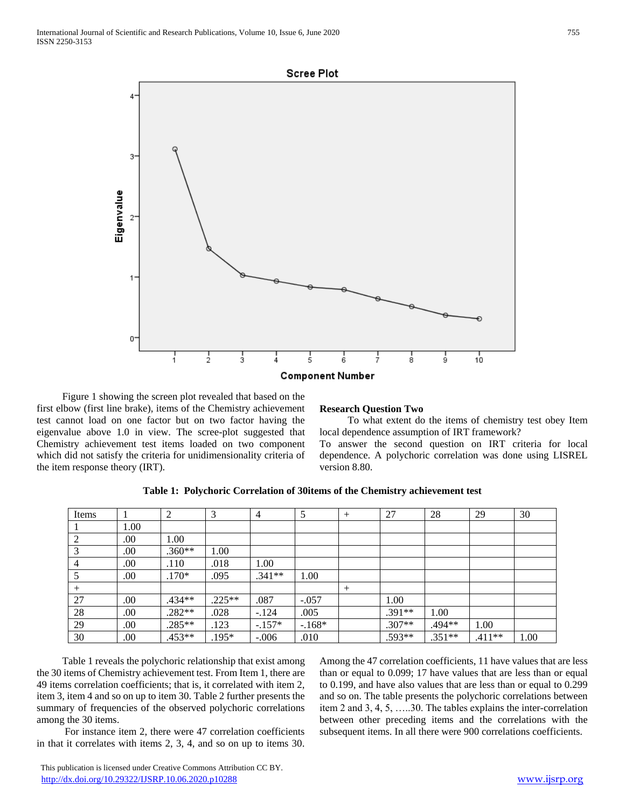



 Figure 1 showing the screen plot revealed that based on the first elbow (first line brake), items of the Chemistry achievement test cannot load on one factor but on two factor having the eigenvalue above 1.0 in view. The scree-plot suggested that Chemistry achievement test items loaded on two component which did not satisfy the criteria for unidimensionality criteria of the item response theory (IRT).

## **Research Question Two**

 To what extent do the items of chemistry test obey Item local dependence assumption of IRT framework?

To answer the second question on IRT criteria for local dependence. A polychoric correlation was done using LISREL version 8.80.

| Items  |      | 2        | 3        | 4        |         | $^{+}$ | 27       | 28       | 29       | 30   |
|--------|------|----------|----------|----------|---------|--------|----------|----------|----------|------|
|        | 1.00 |          |          |          |         |        |          |          |          |      |
|        | .00. | 1.00     |          |          |         |        |          |          |          |      |
|        | .00  | $.360**$ | 1.00     |          |         |        |          |          |          |      |
| 4      | .00  | .110     | .018     | 1.00     |         |        |          |          |          |      |
|        | .00. | $.170*$  | .095     | $.341**$ | 1.00    |        |          |          |          |      |
| $^{+}$ |      |          |          |          |         | $^{+}$ |          |          |          |      |
| 27     | .00  | .434**   | $.225**$ | .087     | $-.057$ |        | 1.00     |          |          |      |
| 28     | .00. | $.282**$ | .028     | $-.124$  | .005    |        | $.391**$ | 1.00     |          |      |
| 29     | .00. | .285**   | .123     | $-.157*$ | $-168*$ |        | $.307**$ | .494**   | 1.00     |      |
| 30     | .00. | .453**   | $.195*$  | $-.006$  | .010    |        | .593**   | $.351**$ | $.411**$ | 1.00 |

**Table 1: Polychoric Correlation of 30items of the Chemistry achievement test**

 Table 1 reveals the polychoric relationship that exist among the 30 items of Chemistry achievement test. From Item 1, there are 49 items correlation coefficients; that is, it correlated with item 2, item 3, item 4 and so on up to item 30. Table 2 further presents the summary of frequencies of the observed polychoric correlations among the 30 items.

 For instance item 2, there were 47 correlation coefficients in that it correlates with items 2, 3, 4, and so on up to items 30.

Among the 47 correlation coefficients, 11 have values that are less than or equal to 0.099; 17 have values that are less than or equal to 0.199, and have also values that are less than or equal to 0.299 and so on. The table presents the polychoric correlations between item 2 and 3, 4, 5, …..30. The tables explains the inter-correlation between other preceding items and the correlations with the subsequent items. In all there were 900 correlations coefficients.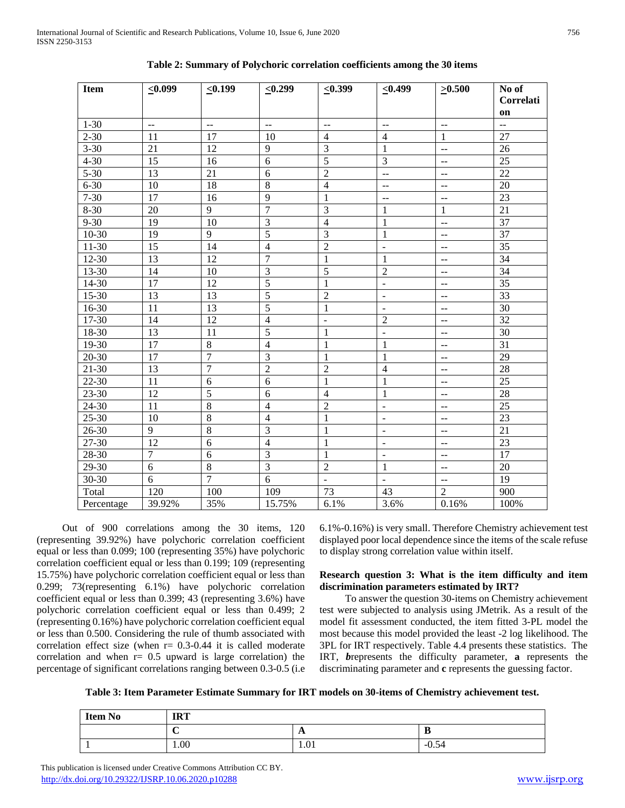| <b>Item</b> | $\leq 0.099$    | $\leq 0.199$    | $\leq 0.299$             | $\leq 0.399$            | $\leq 0.499$             | $\geq 0.500$                                  | No of<br>Correlati<br>on |
|-------------|-----------------|-----------------|--------------------------|-------------------------|--------------------------|-----------------------------------------------|--------------------------|
| $1 - 30$    | $-$             | --              | $\overline{\phantom{a}}$ | $\overline{a}$          | $-$                      | $\overline{a}$                                | $\overline{a}$           |
| $2 - 30$    | 11              | 17              | 10                       | $\overline{4}$          | $\overline{4}$           | $\mathbf{1}$                                  | 27                       |
| $3 - 30$    | 21              | 12              | $\overline{9}$           | $\overline{\mathbf{3}}$ | 1                        | --                                            | 26                       |
| $4 - 30$    | 15              | 16              | $\overline{6}$           | 5                       | $\overline{3}$           | $-$                                           | 25                       |
| $5 - 30$    | 13              | $\overline{21}$ | $\overline{6}$           | $\overline{2}$          | $\overline{a}$           | $-$                                           | $\overline{22}$          |
| $6 - 30$    | 10              | 18              | $\overline{8}$           | $\overline{4}$          | $\overline{a}$           | $\overline{a}$                                | 20                       |
| $7 - 30$    | 17              | 16              | $\overline{9}$           | $\mathbf{1}$            | --                       | $\overline{a}$                                | 23                       |
| $8 - 30$    | 20              | $\overline{9}$  | $\overline{7}$           | $\overline{3}$          | $\mathbf{1}$             | $\mathbf{1}$                                  | $\overline{21}$          |
| $9 - 30$    | 19              | 10              | $\overline{3}$           | $\overline{4}$          | $\mathbf{1}$             | $-$                                           | 37                       |
| $10 - 30$   | $\overline{19}$ | $\overline{9}$  | $\overline{5}$           | $\overline{3}$          | $\mathbf{1}$             | --                                            | 37                       |
| $11-30$     | $\overline{15}$ | $\overline{14}$ | $\overline{4}$           | $\overline{2}$          | $\blacksquare$           | $\overline{\phantom{a}}$                      | $\overline{35}$          |
| $12 - 30$   | 13              | 12              | $\overline{7}$           | $\mathbf{1}$            | $\mathbf{1}$             | $\overline{\phantom{a}}$                      | $\overline{34}$          |
| 13-30       | 14              | 10              | $\overline{3}$           | $\overline{5}$          | $\overline{2}$           | $\mathord{\hspace{1pt}\text{--}\hspace{1pt}}$ | 34                       |
| 14-30       | 17              | 12              | $\overline{5}$           | 1                       | $\overline{\phantom{a}}$ | $\mathrel{{-}-}$                              | 35                       |
| $15-30$     | 13              | 13              | $\overline{5}$           | $\overline{2}$          | $\overline{\phantom{a}}$ | $\mathrel{{-}-}$                              | $\overline{33}$          |
| 16-30       | 11              | 13              | $\overline{5}$           | $\mathbf{1}$            | $\overline{\phantom{a}}$ | $-$                                           | 30                       |
| 17-30       | 14              | 12              | $\overline{4}$           | $\overline{a}$          | $\overline{2}$           | $\ddotsc$                                     | 32                       |
| 18-30       | 13              | 11              | $\overline{5}$           | 1                       | $\overline{\phantom{a}}$ | $\mathrel{{-}-}$                              | 30                       |
| $19-30$     | $\overline{17}$ | $\overline{8}$  | $\overline{4}$           | $\mathbf{1}$            | $\mathbf{1}$             | $\overline{a}$                                | 31                       |
| $20 - 30$   | $\overline{17}$ | $\overline{7}$  | $\overline{3}$           | $\mathbf{1}$            | $\mathbf{1}$             | $\overline{\phantom{a}}$                      | 29                       |
| $21 - 30$   | 13              | $\overline{7}$  | $\overline{2}$           | $\overline{2}$          | $\overline{4}$           | $\overline{\phantom{a}}$                      | 28                       |
| 22-30       | 11              | 6               | $\overline{6}$           | $\mathbf{1}$            | $\mathbf{1}$             | $\overline{\phantom{a}}$                      | 25                       |
| 23-30       | 12              | 5               | 6                        | $\overline{4}$          | $\mathbf{1}$             | $\mathrel{{-}-}$                              | 28                       |
| $24-30$     | 11              | $\overline{8}$  | $\overline{4}$           | $\overline{2}$          | $\overline{a}$           | $\overline{a}$                                | $\overline{25}$          |
| $25 - 30$   | 10              | $\,8\,$         | $\overline{4}$           | $\mathbf{1}$            | $\blacksquare$           | $-$                                           | 23                       |
| $26 - 30$   | $\overline{9}$  | $\overline{8}$  | $\overline{3}$           | $\mathbf{1}$            | $\Box$                   | $\overline{\phantom{a}}$                      | $\overline{21}$          |
| $27 - 30$   | 12              | $\overline{6}$  | $\overline{4}$           | $\mathbf{1}$            | $\overline{\phantom{a}}$ | $-$                                           | $\overline{23}$          |
| $28 - 30$   | $\overline{7}$  | $\overline{6}$  | $\overline{3}$           | $\mathbf{1}$            | $\overline{\phantom{a}}$ | $-$                                           | 17                       |
| 29-30       | 6               | $\,8\,$         | $\overline{3}$           | $\sqrt{2}$              | $\mathbf{1}$             | $\overline{a}$                                | $20\,$                   |
| $30 - 30$   | 6               | $\overline{7}$  | $\overline{6}$           | $\blacksquare$          | $\blacksquare$           | --                                            | 19                       |
| Total       | 120             | 100             | 109                      | 73                      | 43                       | $\overline{2}$                                | 900                      |
| Percentage  | 39.92%          | 35%             | 15.75%                   | 6.1%                    | 3.6%                     | 0.16%                                         | 100%                     |

| Table 2: Summary of Polychoric correlation coefficients among the 30 items |  |  |
|----------------------------------------------------------------------------|--|--|
|                                                                            |  |  |

 Out of 900 correlations among the 30 items, 120 (representing 39.92%) have polychoric correlation coefficient equal or less than 0.099; 100 (representing 35%) have polychoric correlation coefficient equal or less than 0.199; 109 (representing 15.75%) have polychoric correlation coefficient equal or less than 0.299; 73(representing 6.1%) have polychoric correlation coefficient equal or less than 0.399; 43 (representing 3.6%) have polychoric correlation coefficient equal or less than 0.499; 2 (representing 0.16%) have polychoric correlation coefficient equal or less than 0.500. Considering the rule of thumb associated with correlation effect size (when  $r = 0.3$ -0.44 it is called moderate correlation and when  $r = 0.5$  upward is large correlation) the percentage of significant correlations ranging between 0.3-0.5 (i.e

6.1%-0.16%) is very small. Therefore Chemistry achievement test displayed poor local dependence since the items of the scale refuse to display strong correlation value within itself.

# **Research question 3: What is the item difficulty and item discrimination parameters estimated by IRT?**

 To answer the question 30-items on Chemistry achievement test were subjected to analysis using JMetrik. As a result of the model fit assessment conducted, the item fitted 3-PL model the most because this model provided the least -2 log likelihood. The 3PL for IRT respectively. Table 4.4 presents these statistics. The IRT, *b*represents the difficulty parameter, **a** represents the discriminating parameter and **c** represents the guessing factor.

**Table 3: Item Parameter Estimate Summary for IRT models on 30-items of Chemistry achievement test.**

| <b>Item No</b> | <b>IRT</b> |                |         |  |  |
|----------------|------------|----------------|---------|--|--|
|                | ◡          | $\overline{A}$ | ∽<br>v  |  |  |
|                | 1.00       | 1.01           | $-0.54$ |  |  |

 This publication is licensed under Creative Commons Attribution CC BY. <http://dx.doi.org/10.29322/IJSRP.10.06.2020.p10288> [www.ijsrp.org](http://ijsrp.org/)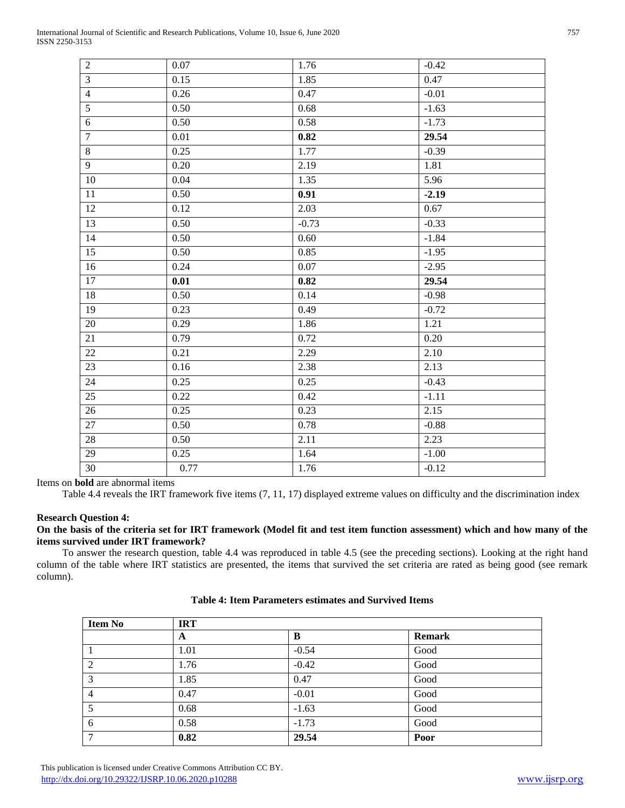| $\overline{2}$  | $0.07\,$ | 1.76    | $-0.42$ |
|-----------------|----------|---------|---------|
| $\overline{3}$  | 0.15     | 1.85    | 0.47    |
| $\overline{4}$  | 0.26     | 0.47    | $-0.01$ |
| $\overline{5}$  | 0.50     | 0.68    | $-1.63$ |
| $\overline{6}$  | 0.50     | 0.58    | $-1.73$ |
| $\overline{7}$  | $0.01\,$ | 0.82    | 29.54   |
| $\,8\,$         | 0.25     | 1.77    | $-0.39$ |
| 9               | 0.20     | 2.19    | 1.81    |
| 10              | 0.04     | 1.35    | 5.96    |
| 11              | 0.50     | 0.91    | $-2.19$ |
| 12              | 0.12     | 2.03    | 0.67    |
| 13              | 0.50     | $-0.73$ | $-0.33$ |
| 14              | 0.50     | 0.60    | $-1.84$ |
| 15              | 0.50     | 0.85    | $-1.95$ |
| 16              | 0.24     | 0.07    | $-2.95$ |
| 17              | 0.01     | 0.82    | 29.54   |
| 18              | 0.50     | 0.14    | $-0.98$ |
| 19              | 0.23     | 0.49    | $-0.72$ |
| $20\,$          | 0.29     | 1.86    | 1.21    |
| 21              | 0.79     | 0.72    | 0.20    |
| 22              | 0.21     | 2.29    | 2.10    |
| $\overline{23}$ | 0.16     | 2.38    | 2.13    |
| 24              | 0.25     | 0.25    | $-0.43$ |
| 25              | 0.22     | 0.42    | $-1.11$ |
| 26              | 0.25     | 0.23    | 2.15    |
| 27              | 0.50     | 0.78    | $-0.88$ |
| 28              | 0.50     | 2.11    | 2.23    |
| 29              | 0.25     | 1.64    | $-1.00$ |
| 30              | 0.77     | 1.76    | $-0.12$ |

Items on **bold** are abnormal items

Table 4.4 reveals the IRT framework five items (7, 11, 17) displayed extreme values on difficulty and the discrimination index

# **Research Question 4:**

# **On the basis of the criteria set for IRT framework (Model fit and test item function assessment) which and how many of the items survived under IRT framework?**

 To answer the research question, table 4.4 was reproduced in table 4.5 (see the preceding sections). Looking at the right hand column of the table where IRT statistics are presented, the items that survived the set criteria are rated as being good (see remark column).

| <b>Item No</b> | <b>IRT</b> |         |               |  |
|----------------|------------|---------|---------------|--|
|                | A          | B       | <b>Remark</b> |  |
|                | 1.01       | $-0.54$ | Good          |  |
| 2              | 1.76       | $-0.42$ | Good          |  |
| 3              | 1.85       | 0.47    | Good          |  |
| $\overline{4}$ | 0.47       | $-0.01$ | Good          |  |
|                | 0.68       | $-1.63$ | Good          |  |
| 6              | 0.58       | $-1.73$ | Good          |  |
| ┑              | 0.82       | 29.54   | Poor          |  |

# **Table 4: Item Parameters estimates and Survived Items**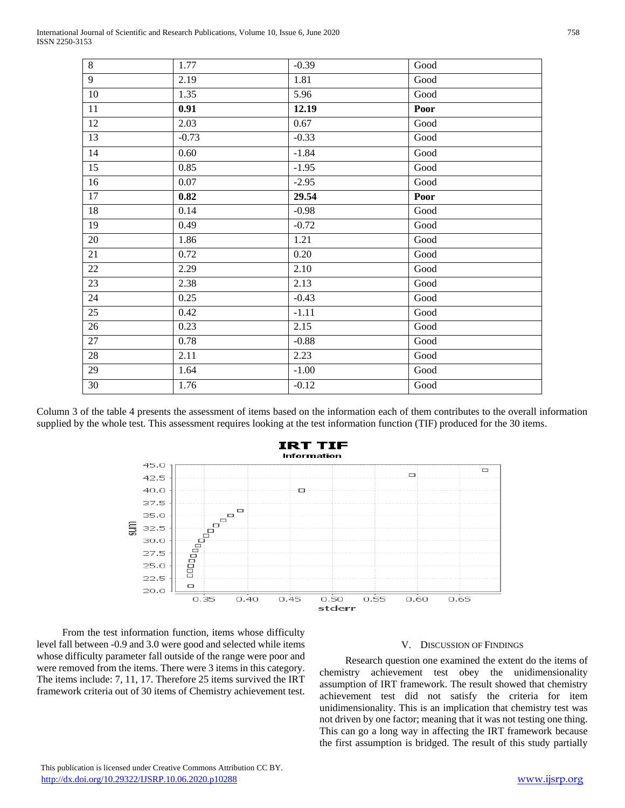| $\,8\,$        | 1.77     | $-0.39$ | Good                  |
|----------------|----------|---------|-----------------------|
| $\overline{9}$ | 2.19     | 1.81    | Good                  |
| 10             | 1.35     | 5.96    | Good                  |
| 11             | 0.91     | 12.19   | Poor                  |
| 12             | 2.03     | 0.67    | Good                  |
| 13             | $-0.73$  | $-0.33$ | Good                  |
| 14             | 0.60     | $-1.84$ | Good                  |
| 15             | 0.85     | $-1.95$ | Good                  |
| 16             | $0.07\,$ | $-2.95$ | Good                  |
| 17             | 0.82     | 29.54   | Poor                  |
| 18             | 0.14     | $-0.98$ | Good                  |
| 19             | 0.49     | $-0.72$ | Good                  |
| $20\,$         | 1.86     | 1.21    | $\operatorname{Good}$ |
| 21             | 0.72     | 0.20    | $\operatorname{Good}$ |
| $22\,$         | 2.29     | 2.10    | $\operatorname{Good}$ |
| 23             | 2.38     | 2.13    | Good                  |
| 24             | 0.25     | $-0.43$ | Good                  |
| 25             | 0.42     | $-1.11$ | $\operatorname{Good}$ |
| 26             | 0.23     | 2.15    | Good                  |
| 27             | 0.78     | $-0.88$ | $\operatorname{Good}$ |
| 28             | 2.11     | 2.23    | Good                  |
| 29             | 1.64     | $-1.00$ | Good                  |
| 30             | 1.76     | $-0.12$ | Good                  |
|                |          |         |                       |

Column 3 of the table 4 presents the assessment of items based on the information each of them contributes to the overall information supplied by the whole test. This assessment requires looking at the test information function (TIF) produced for the 30 items.



 From the test information function, items whose difficulty level fall between -0.9 and 3.0 were good and selected while items whose difficulty parameter fall outside of the range were poor and were removed from the items. There were 3 items in this category. The items include: 7, 11, 17. Therefore 25 items survived the IRT framework criteria out of 30 items of Chemistry achievement test.

# V. DISCUSSION OF FINDINGS

 Research question one examined the extent do the items of chemistry achievement test obey the unidimensionality assumption of IRT framework. The result showed that chemistry achievement test did not satisfy the criteria for item unidimensionality. This is an implication that chemistry test was not driven by one factor; meaning that it was not testing one thing. This can go a long way in affecting the IRT framework because the first assumption is bridged. The result of this study partially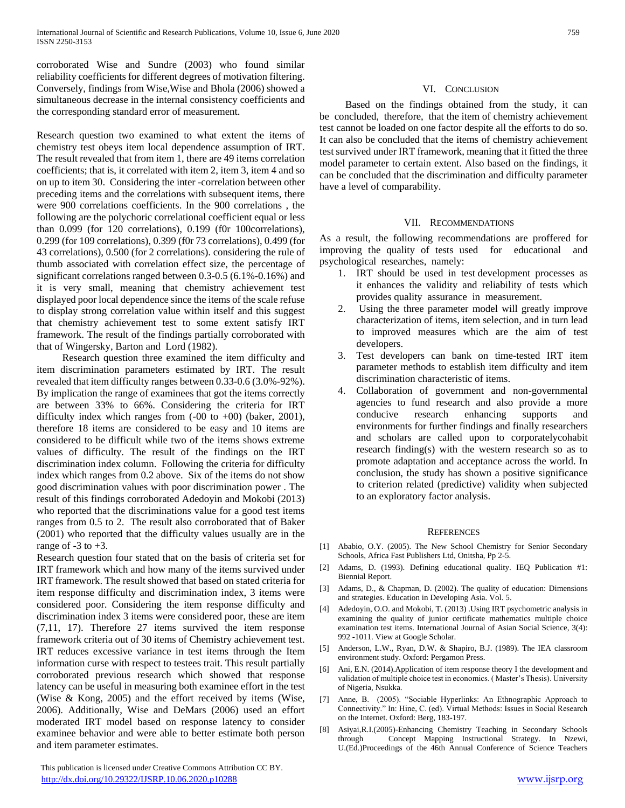corroborated Wise and Sundre (2003) who found similar reliability coefficients for different degrees of motivation filtering. Conversely, findings from Wise,Wise and Bhola (2006) showed a simultaneous decrease in the internal consistency coefficients and the corresponding standard error of measurement.

Research question two examined to what extent the items of chemistry test obeys item local dependence assumption of IRT. The result revealed that from item 1, there are 49 items correlation coefficients; that is, it correlated with item 2, item 3, item 4 and so on up to item 30. Considering the inter -correlation between other preceding items and the correlations with subsequent items, there were 900 correlations coefficients. In the 900 correlations , the following are the polychoric correlational coefficient equal or less than 0.099 (for 120 correlations), 0.199 (f0r 100correlations), 0.299 (for 109 correlations), 0.399 (f0r 73 correlations), 0.499 (for 43 correlations), 0.500 (for 2 correlations). considering the rule of thumb associated with correlation effect size, the percentage of significant correlations ranged between 0.3-0.5 (6.1%-0.16%) and it is very small, meaning that chemistry achievement test displayed poor local dependence since the items of the scale refuse to display strong correlation value within itself and this suggest that chemistry achievement test to some extent satisfy IRT framework. The result of the findings partially corroborated with that of Wingersky, Barton and Lord (1982).

 Research question three examined the item difficulty and item discrimination parameters estimated by IRT. The result revealed that item difficulty ranges between 0.33-0.6 (3.0%-92%). By implication the range of examinees that got the items correctly are between 33% to 66%. Considering the criteria for IRT difficulty index which ranges from  $(-00 \text{ to } +00)$  (baker, 2001), therefore 18 items are considered to be easy and 10 items are considered to be difficult while two of the items shows extreme values of difficulty. The result of the findings on the IRT discrimination index column. Following the criteria for difficulty index which ranges from 0.2 above. Six of the items do not show good discrimination values with poor discrimination power . The result of this findings corroborated Adedoyin and Mokobi (2013) who reported that the discriminations value for a good test items ranges from 0.5 to 2. The result also corroborated that of Baker (2001) who reported that the difficulty values usually are in the range of  $-3$  to  $+3$ .

Research question four stated that on the basis of criteria set for IRT framework which and how many of the items survived under IRT framework. The result showed that based on stated criteria for item response difficulty and discrimination index, 3 items were considered poor. Considering the item response difficulty and discrimination index 3 items were considered poor, these are item (7,11, 17). Therefore 27 items survived the item response framework criteria out of 30 items of Chemistry achievement test. IRT reduces excessive variance in test items through the Item information curse with respect to testees trait. This result partially corroborated previous research which showed that response latency can be useful in measuring both examinee effort in the test (Wise & Kong, 2005) and the effort received by items (Wise, 2006). Additionally, Wise and DeMars (2006) used an effort moderated IRT model based on response latency to consider examinee behavior and were able to better estimate both person and item parameter estimates.

# VI. CONCLUSION

 Based on the findings obtained from the study, it can be concluded, therefore, that the item of chemistry achievement test cannot be loaded on one factor despite all the efforts to do so. It can also be concluded that the items of chemistry achievement test survived under IRT framework, meaning that it fitted the three model parameter to certain extent. Also based on the findings, it can be concluded that the discrimination and difficulty parameter have a level of comparability.

# VII. RECOMMENDATIONS

As a result, the following recommendations are proffered for improving the quality of tests used for educational and psychological researches, namely:

- 1. IRT should be used in test development processes as it enhances the validity and reliability of tests which provides quality assurance in measurement.
- 2. Using the three parameter model will greatly improve characterization of items, item selection, and in turn lead to improved measures which are the aim of test developers.
- 3. Test developers can bank on time-tested IRT item parameter methods to establish item difficulty and item discrimination characteristic of items.
- 4. Collaboration of government and non-governmental agencies to fund research and also provide a more conducive research enhancing supports and environments for further findings and finally researchers and scholars are called upon to corporatelycohabit research finding(s) with the western research so as to promote adaptation and acceptance across the world. In conclusion, the study has shown a positive significance to criterion related (predictive) validity when subjected to an exploratory factor analysis.

# **REFERENCES**

- [1] Ababio, O.Y. (2005). The New School Chemistry for Senior Secondary Schools, Africa Fast Publishers Ltd, Onitsha, Pp 2-5.
- [2] Adams, D. (1993). Defining educational quality. IEQ Publication #1: Biennial Report.
- [3] Adams, D., & Chapman, D. (2002). The quality of education: Dimensions and strategies. Education in Developing Asia. Vol. 5.
- [4] Adedoyin, O.O. and Mokobi, T. (2013) .Using IRT psychometric analysis in examining the quality of junior certificate mathematics multiple choice examination test items. International Journal of Asian Social Science, 3(4): 992 -1011. View at Google Scholar.
- [5] Anderson, L.W., Ryan, D.W. & Shapiro, B.J. (1989). The IEA classroom environment study. Oxford: Pergamon Press.
- [6] Ani, E.N. (2014).Application of item response theory I the development and validation of multiple choice test in economics. ( Master's Thesis). University of Nigeria, Nsukka.
- [7] Anne, B. (2005). "Sociable Hyperlinks: An Ethnographic Approach to Connectivity." In: Hine, C. (ed). Virtual Methods: Issues in Social Research on the Internet. Oxford: Berg, 183-197.
- [8] Asiyai,R.I.(2005)-Enhancing Chemistry Teaching in Secondary Schools through Concept Mapping Instructional Strategy. In Nzewi, U.(Ed.)Proceedings of the 46th Annual Conference of Science Teachers